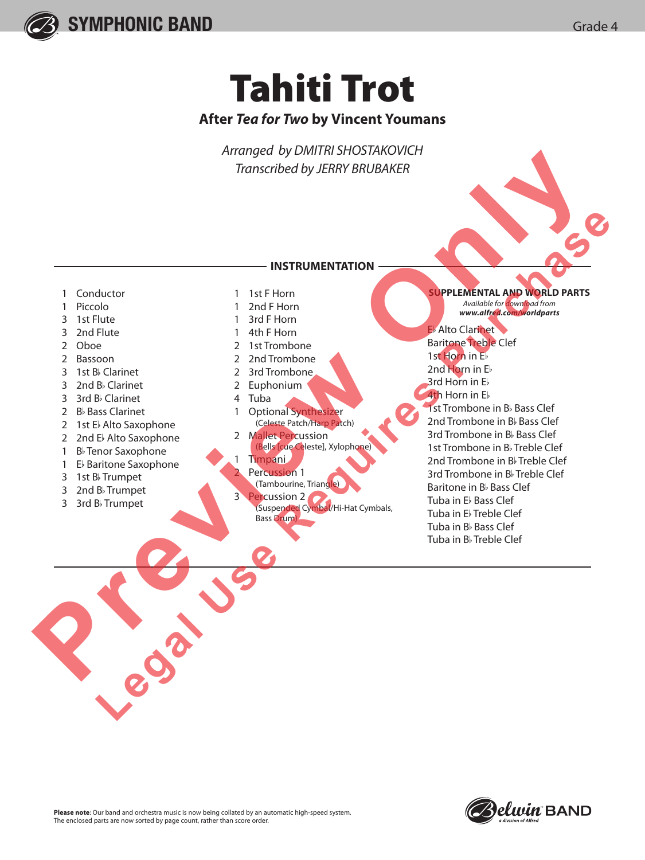

**SYMPHONIC BAND**

# **Tahiti Trot**

### **After** *Tea for Two* **by Vincent Youmans**

*Arranged by DMITRI SHOSTAKOVICH Transcribed by JERRY BRUBAKER*

- 1 Conductor
- 1 Piccolo
- 3 1st Flute
- 3 2nd Flute
- 2 Oboe
- 2 Bassoon
- 3 1st B<sub>b</sub> Clarinet
- 3 2nd B<sub>b</sub> Clarinet
- 3 3rd Bb Clarinet
- 2 B<sub>b</sub> Bass Clarinet
- 2 1st El Alto Saxophone
- 2 2nd El Alto Saxophone
- 1 B<sub>b</sub> Tenor Saxophone
- 1 Eb Baritone Saxophone
- 3 1st Bb Trumpet
- 3 2nd Bb Trumpet
- 3 3rd Bb Trumpet
- **INSTRUMENTATION**
- 1 1st F Horn
- 1 2nd F Horn
- 1 3rd F Horn
- 1 4th F Horn
- 2 1st Trombone
- 2 2nd Trombone
- 2 3rd Trombone
- 2 Euphonium
- 4 Tuba
- 1 Optional Synthesizer (Celeste Patch/Harp Patch)
- 2 Mallet Percussion (Bells [cue Celeste], Xylophone)
- 1 Timpani
- Percussion 1 (Tambourine, Triangle)
- 3 Percussion 2

(Suspended Cymbal/Hi-Hat Cymbals, Bass Drum)

**Supplemental and World Parts** *Available for download from www.alfred.com/worldparts* E**b** Alto Clarinet Baritone Treble Clef 1st Horn in Eb 2nd Horn in E 3rd Horn in Eb 4th Horn in Eb 1st Trombone in B<sub>b</sub> Bass Clef 2nd Trombone in B<sub>b</sub> Bass Clef 3rd Trombone in B<sub>b</sub> Bass Clef 1st Trombone in B<sub>b</sub> Treble Clef 2nd Trombone in B<sub>b</sub> Treble Clef 3rd Trombone in B<sub>b</sub> Treble Clef Baritone in B<sub>b</sub> Bass Clef Tuba in Eb Bass Clef Tuba in Eb Treble Clef Tuba in B<sub>b</sub> Bass Clef Tuba in Bb Treble Clef **Pressure Considered by JERRY BRUBAKER**<br>
Transcribed by JERRY BRUBAKER<br>
Transcribed by JERRY BRUBAKER<br>
To conductor<br>
Press Considered by Terry and The Henry<br>
2 Max Clarical Street of the Henry Considered by the Henry Consi **Legal Use Republicance**<br> **Legal Use Republicance**<br>
Legal Use Republicance<br>
Contact Experimental Apple Department<br>
Contact 2 and Friedrich and Figure 2 and Friedrich and Contact 2 and Friedrich and Contact 2 and Friedrich

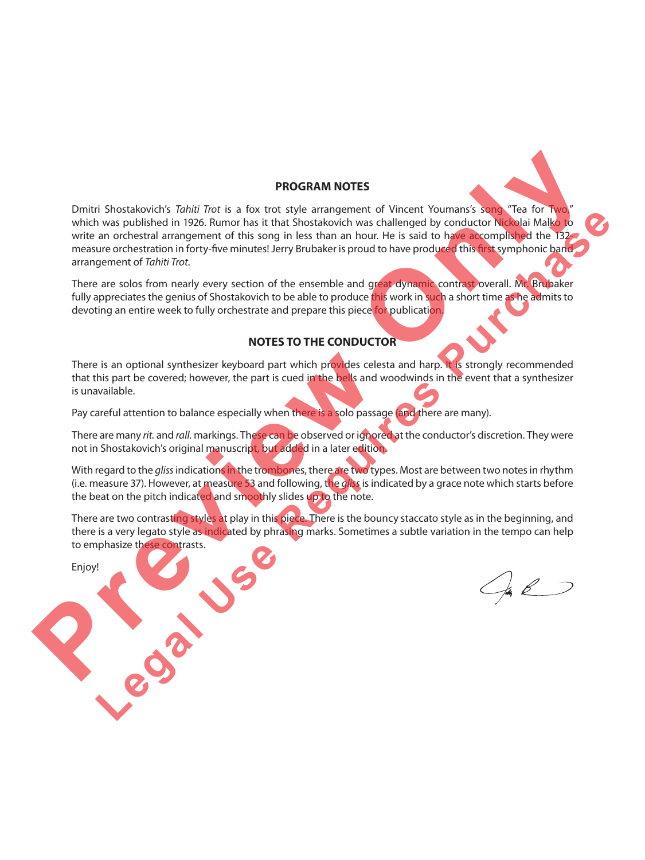#### **PROGRAM NOTES**

Dmitri Shostakovich's Tahiti Trot is a fox trot style arrangement of Vincent Youmans's song "Tea for Two," which was published in 1926. Rumor has it that Shostakovich was challenged by conductor Nickolai Malko to write an orchestral arrangement of this song in less than an hour. He is said to have accomplished the 132measure orchestration in forty-five minutes! Jerry Brubaker is proud to have produced this first symphonic band, arrangement of Tahiti Trot.

There are solos from nearly every section of the ensemble and great dynamic contrast overall. Mr. Brubaker fully appreciates the genius of Shostakovich to be able to produce this work in such a short time as he admits to devoting an entire week to fully orchestrate and prepare this piece for publication.

#### **NOTES TO THE CONDUCTOR**

There is an optional synthesizer keyboard part which provides celesta and harp. It is strongly recommended that this part be covered; however, the part is cued in the bells and woodwinds in the event that a synthesizer is unavailable.

Pay careful attention to balance especially when there is a solo passage (and there are many).

There are many rit. and rall. markings. These can be observed or ignored at the conductor's discretion. They were not in Shostakovich's original manuscript, but added in a later edition.

With regard to the gliss indications in the trombones, there are two types. Most are between two notes in rhythm (i.e. measure 37). However, at measure 53 and following, the gliss is indicated by a grace note which starts before the beat on the pitch indicated and smoothly slides up to the note.

There are two contrasting styles at play in this piece. There is the bouncy staccato style as in the beginning, and there is a very legato style as indicated by phrasing marks. Sometimes a subtle variation in the tempo can help to emphasize these contrasts.

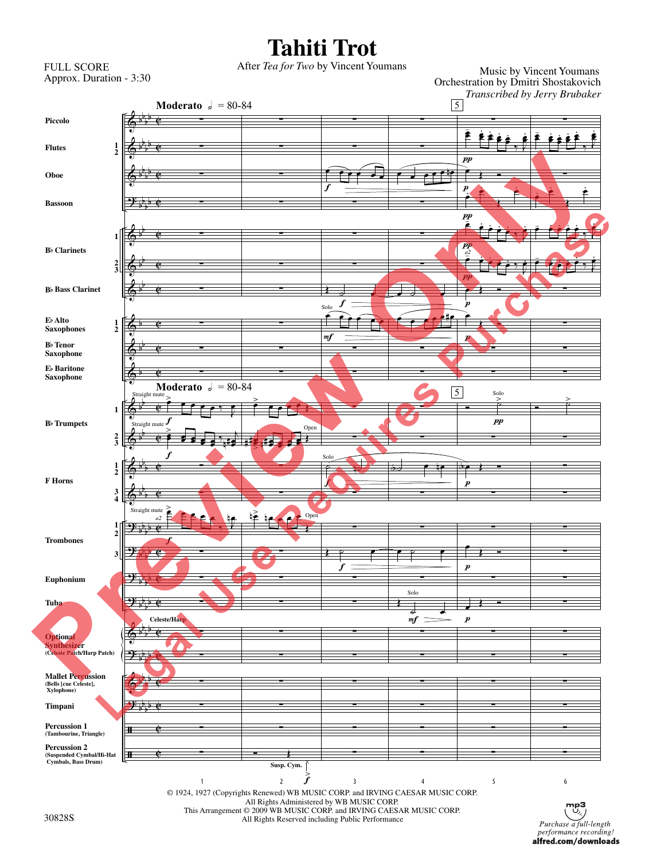## **Tahiti Trot**

FULL SCORE Approx. Duration - 3:30 After *Tea for Two* by Vincent Youmans

Music by Vincent Youmans Orchestration by Dmitri Shostakovich *Transcribed by Jerry Brubaker*



Purchase a full-length<br>performance recording! alfred.com/downloads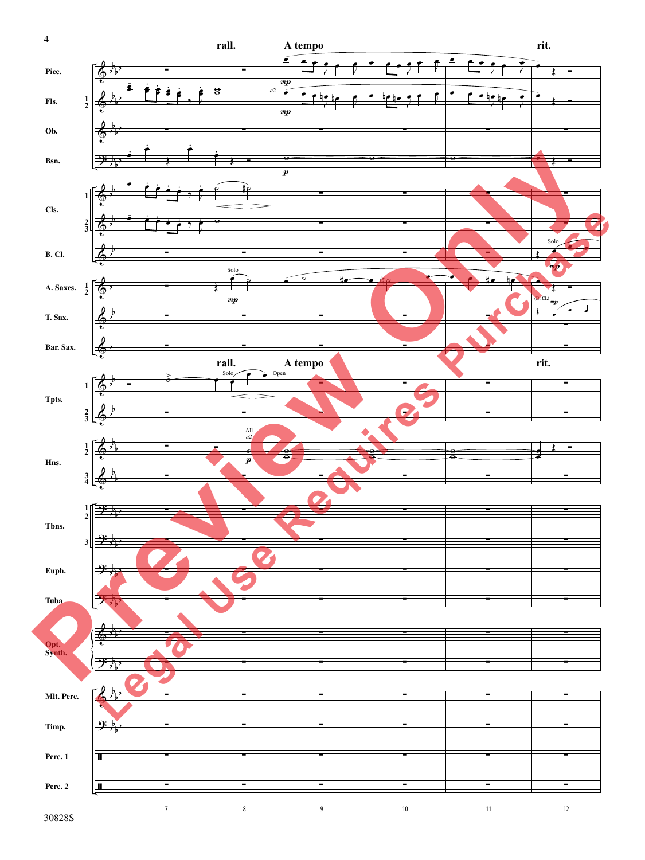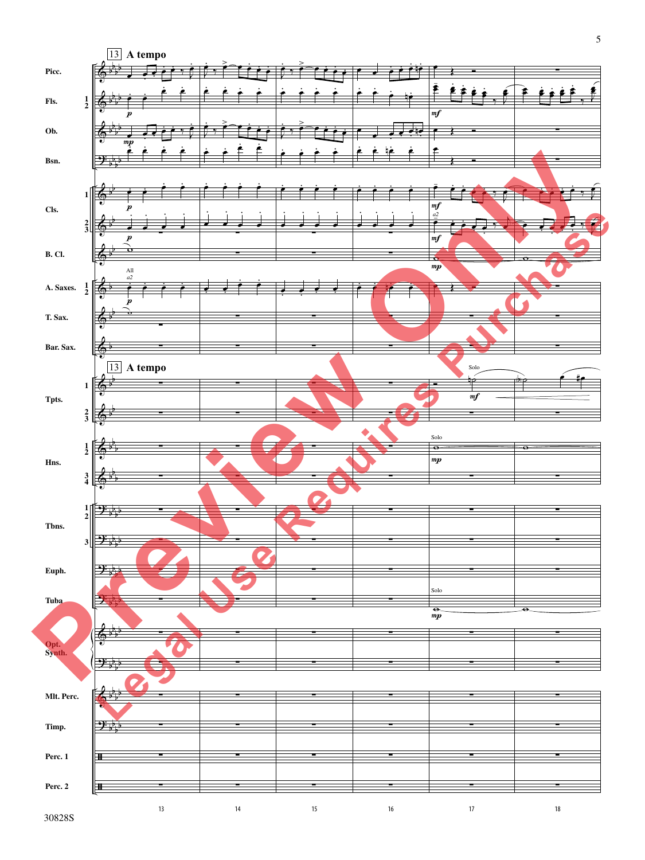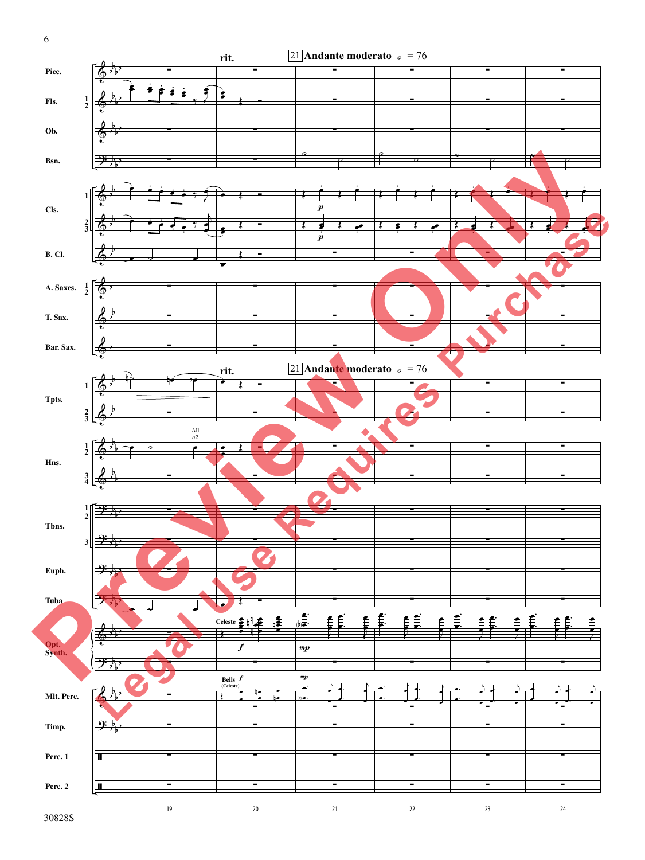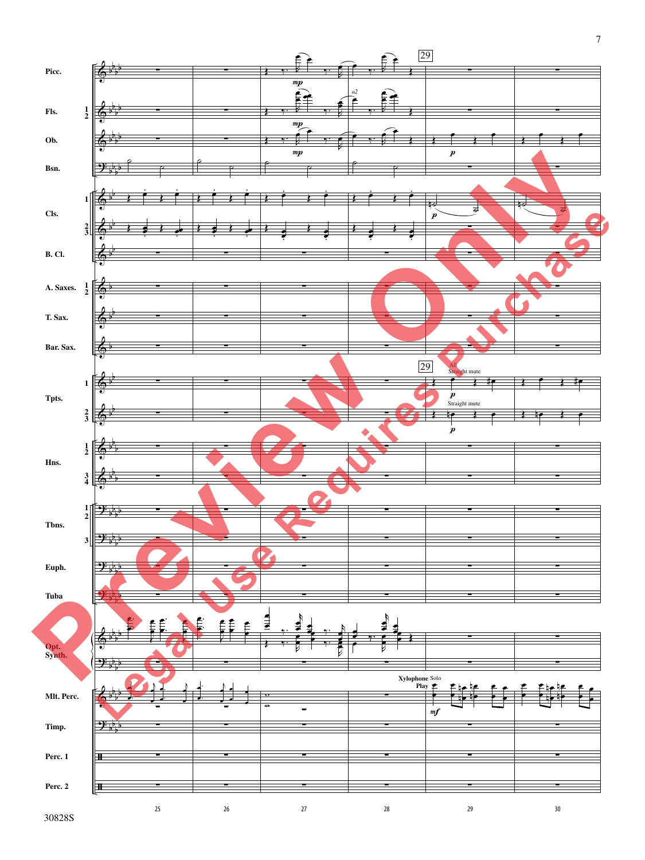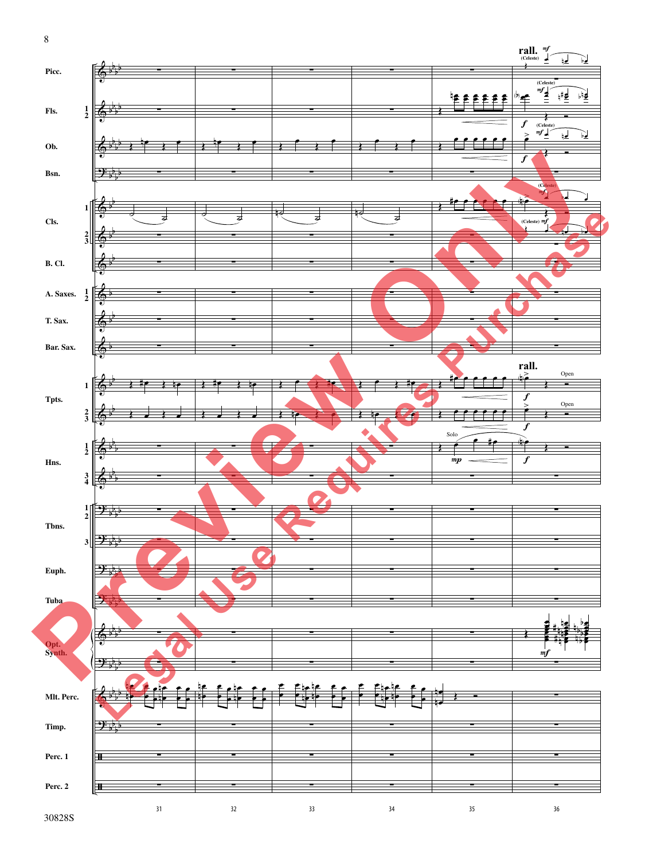

30828S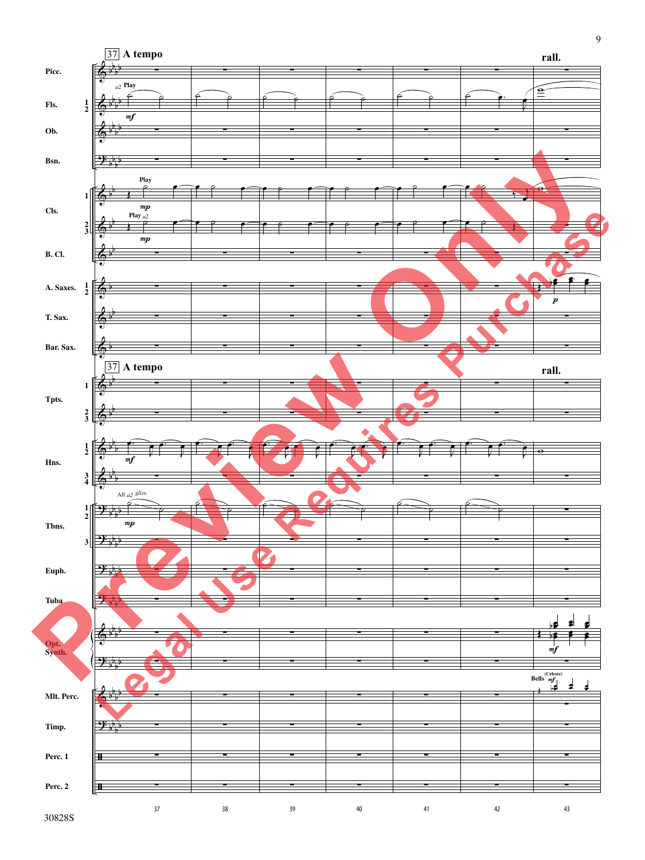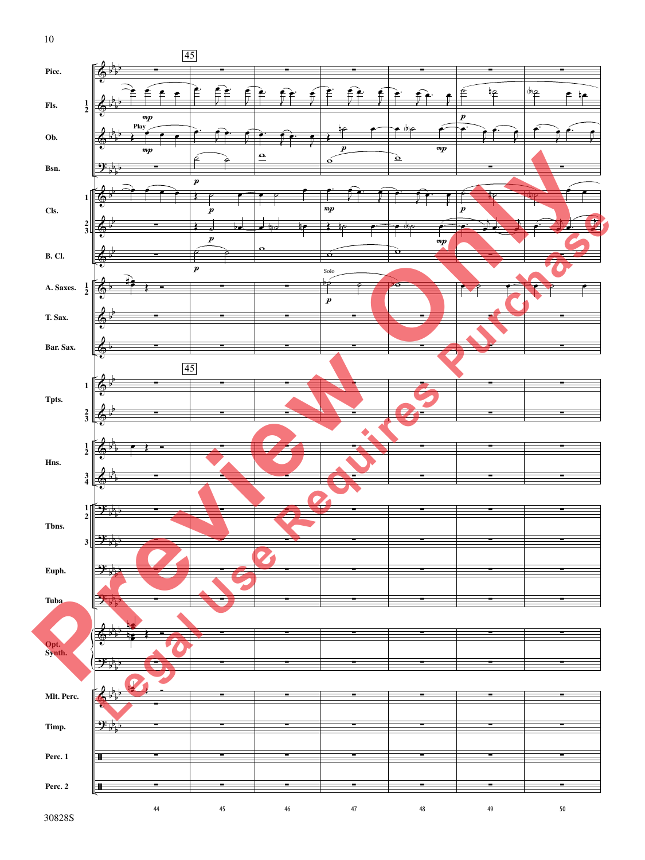![](_page_9_Figure_0.jpeg)

30828S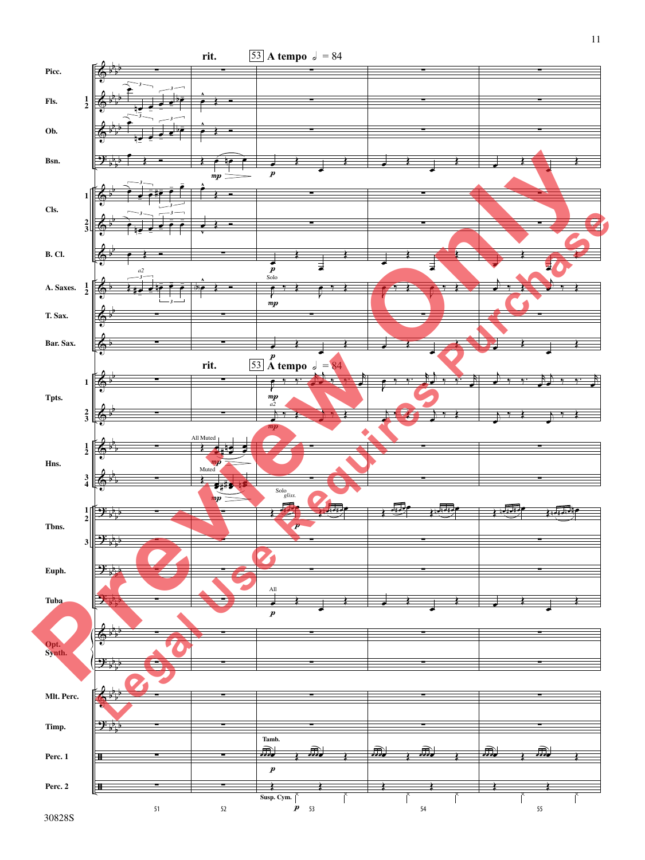![](_page_10_Figure_0.jpeg)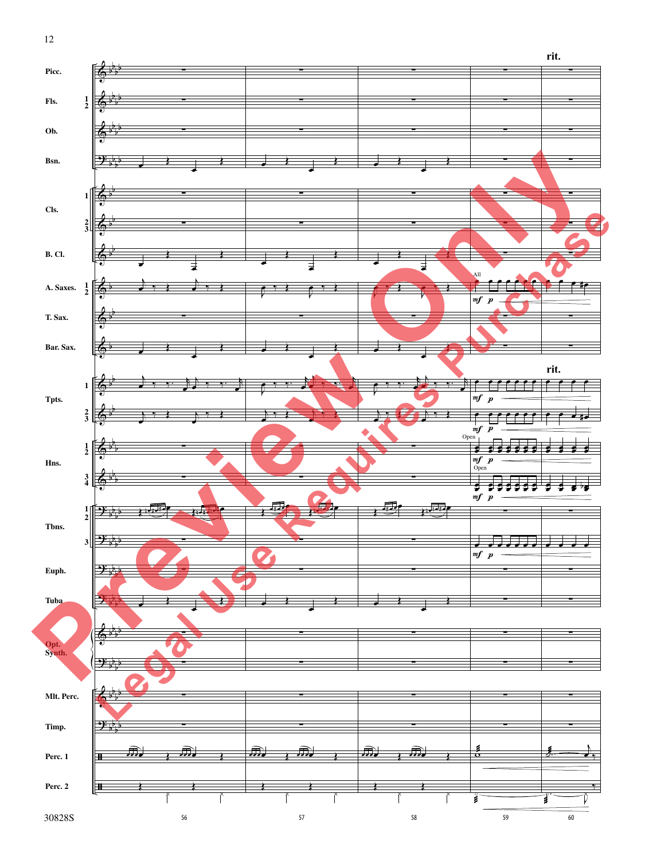**rit.**

![](_page_11_Figure_2.jpeg)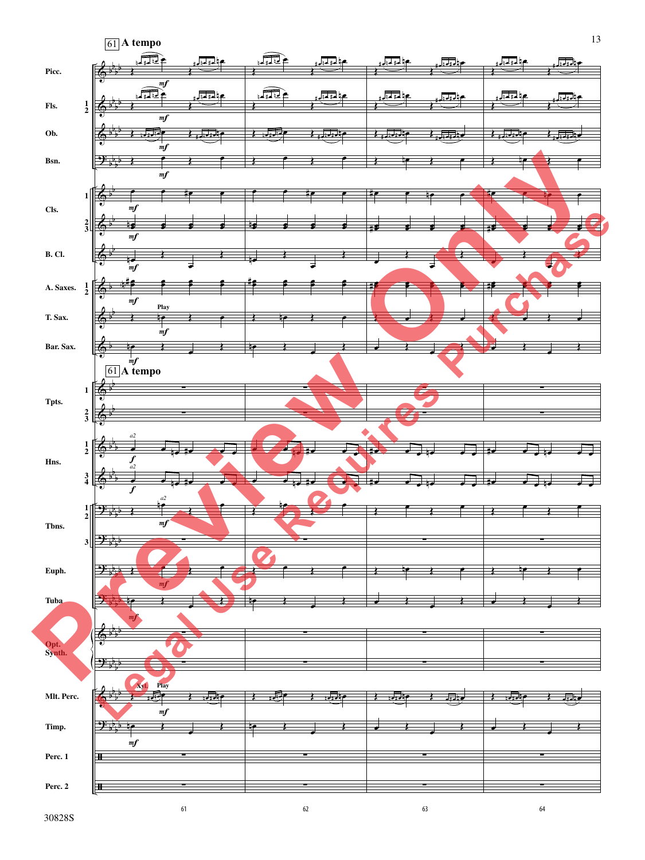![](_page_12_Figure_0.jpeg)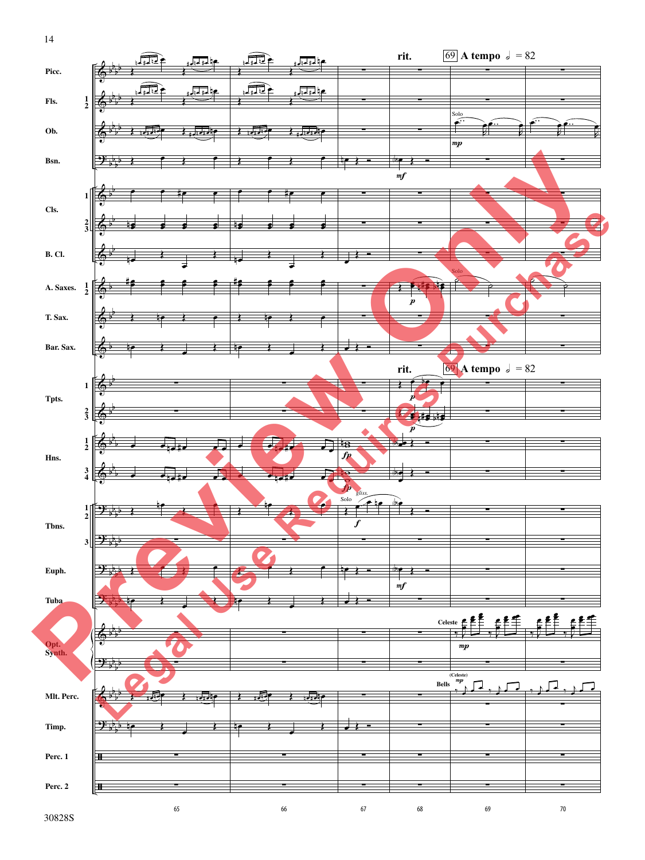![](_page_13_Figure_1.jpeg)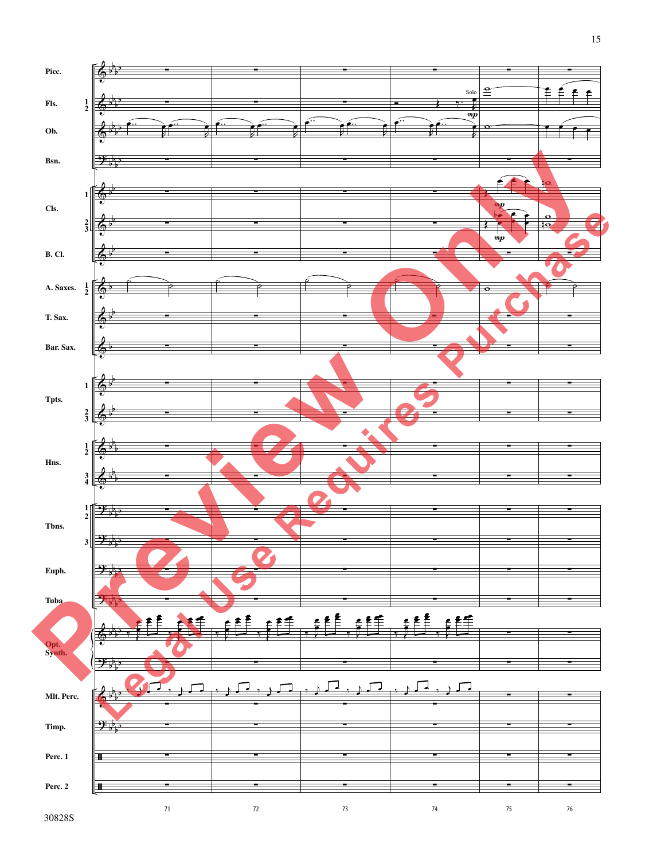![](_page_14_Figure_0.jpeg)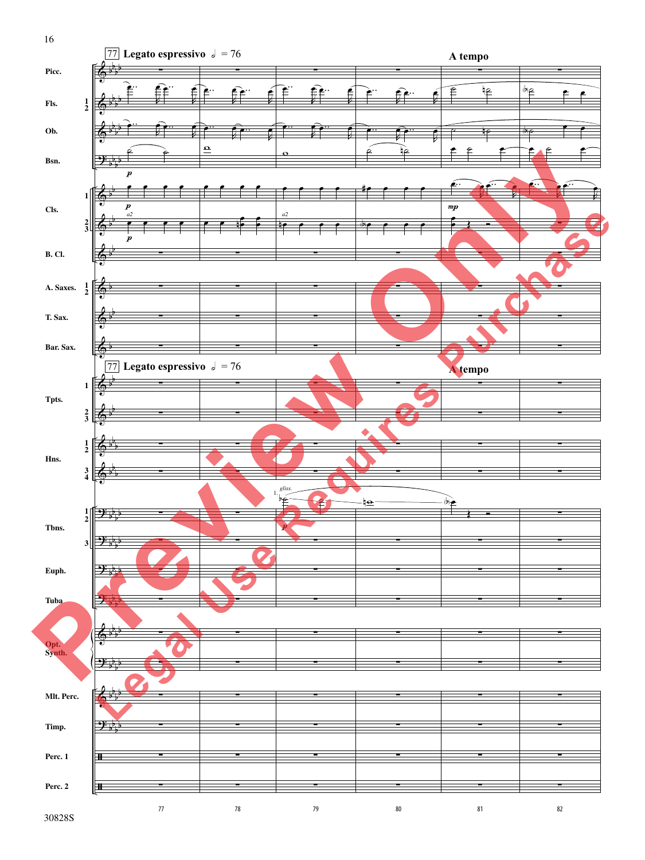![](_page_15_Figure_0.jpeg)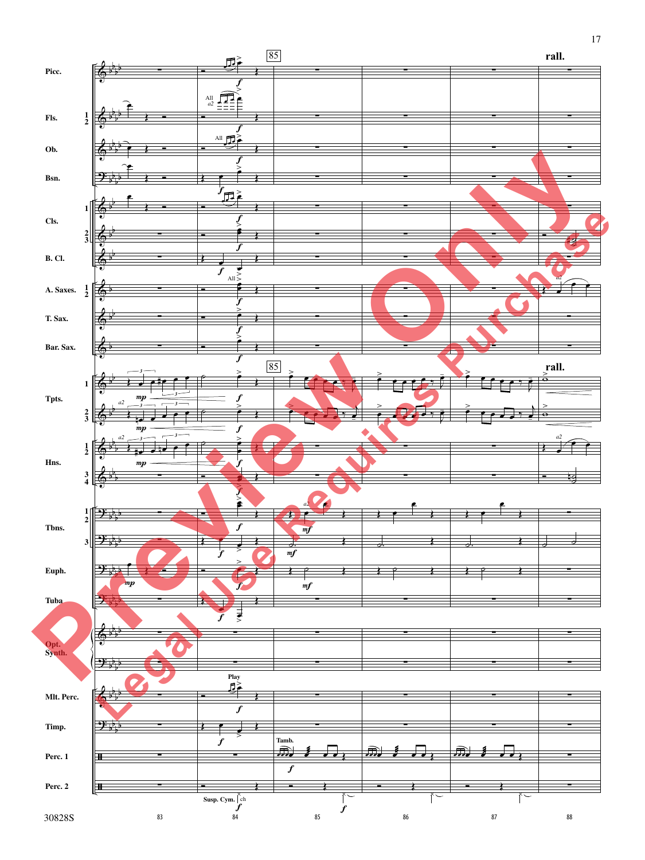![](_page_16_Figure_0.jpeg)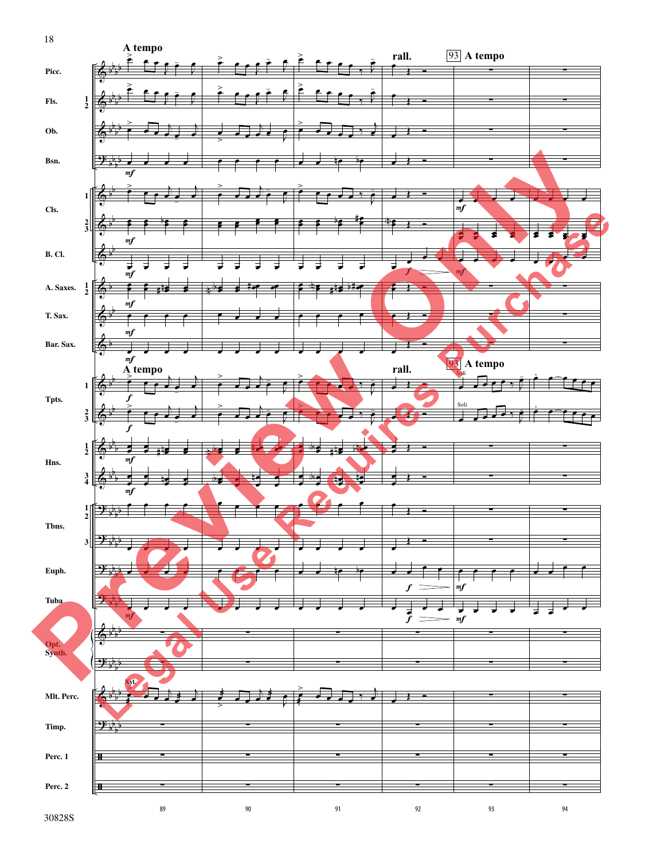![](_page_17_Figure_0.jpeg)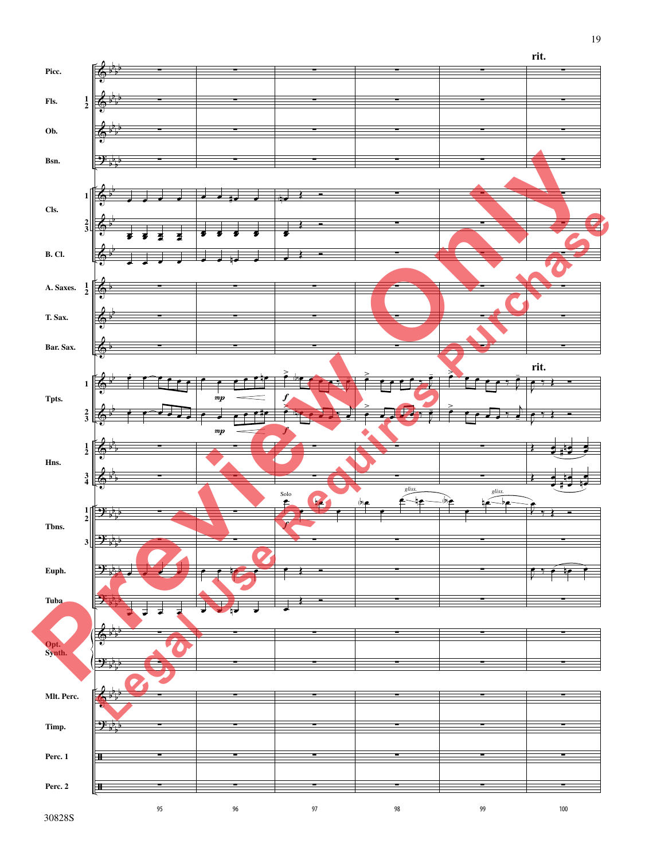![](_page_18_Figure_0.jpeg)

30828S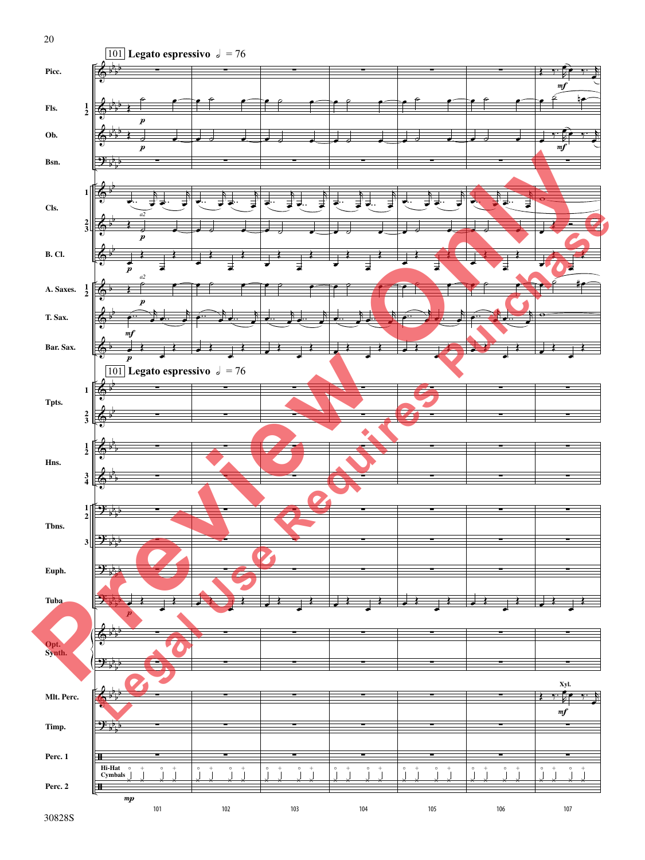![](_page_19_Figure_0.jpeg)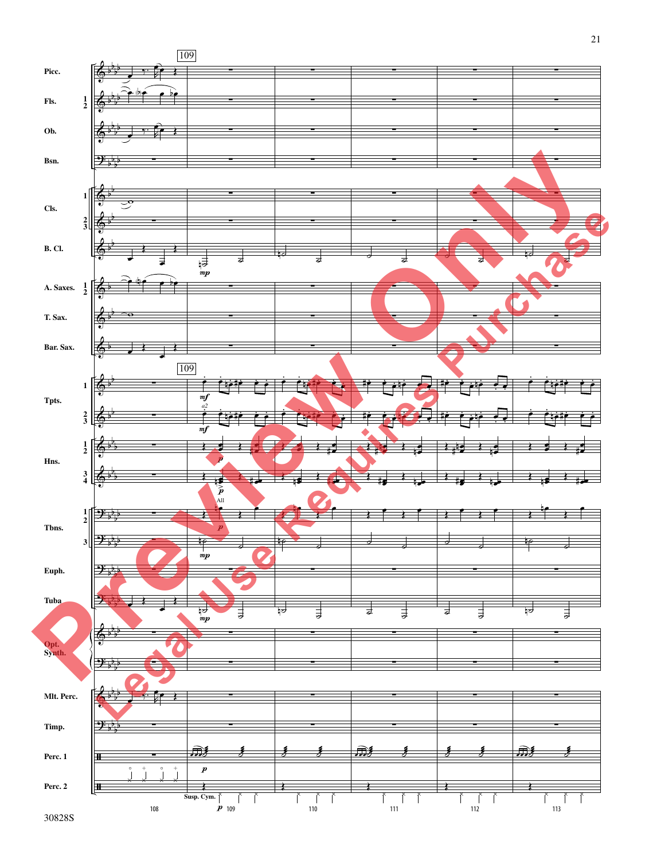![](_page_20_Figure_0.jpeg)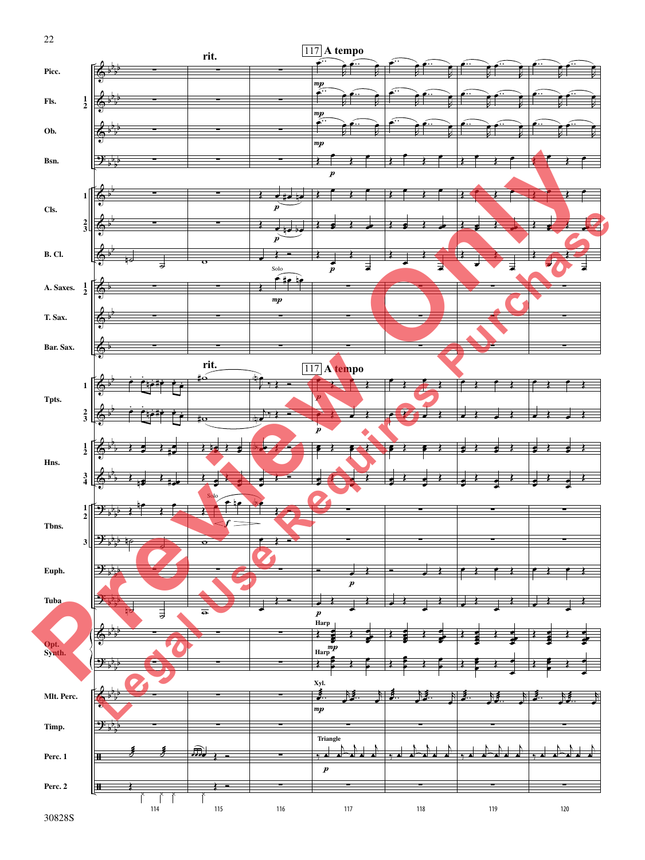![](_page_21_Figure_0.jpeg)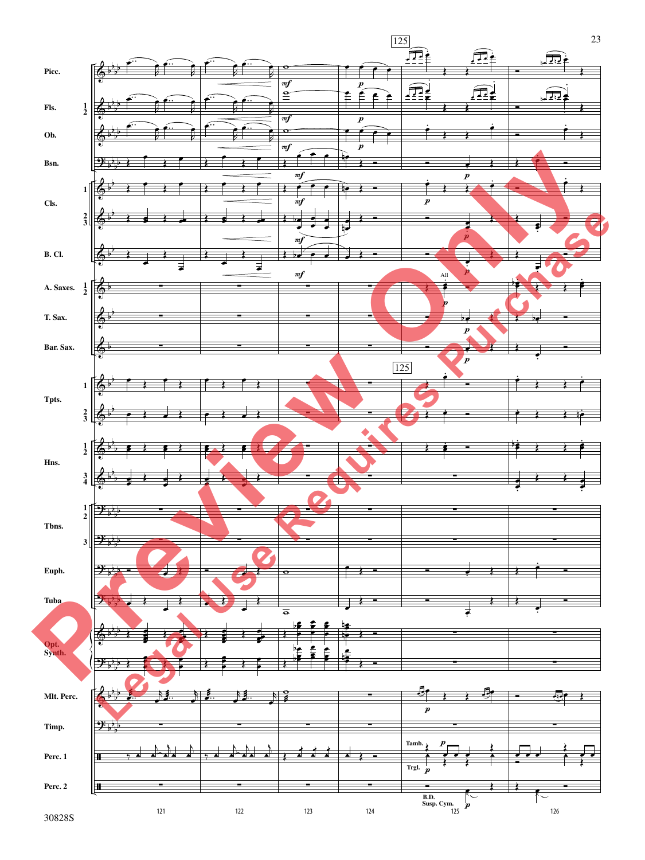![](_page_22_Figure_0.jpeg)